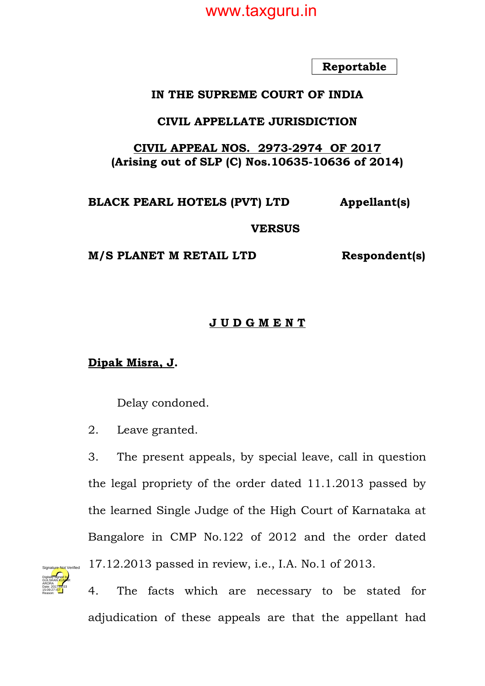**Reportable**

#### **IN THE SUPREME COURT OF INDIA**

#### **CIVIL APPELLATE JURISDICTION**

#### **CIVIL APPEAL NOS. 2973-2974 OF 2017 (Arising out of SLP (C) Nos.10635-10636 of 2014)**

# **BLACK PEARL HOTELS (PVT) LTD Appellant(s)**

#### **VERSUS**

**M/S PLANET M RETAIL LTD Respondent(s)**

#### **J U D G M E N T**

#### **Dipak Misra, J.**

Delay condoned.

2. Leave granted.

3. The present appeals, by special leave, call in question the legal propriety of the order dated 11.1.2013 passed by the learned Single Judge of the High Court of Karnataka at Bangalore in CMP No.122 of 2012 and the order dated 17.12.2013 passed in review, i.e., I.A. No.1 of 2013.



4. The facts which are necessary to be stated for adjudication of these appeals are that the appellant had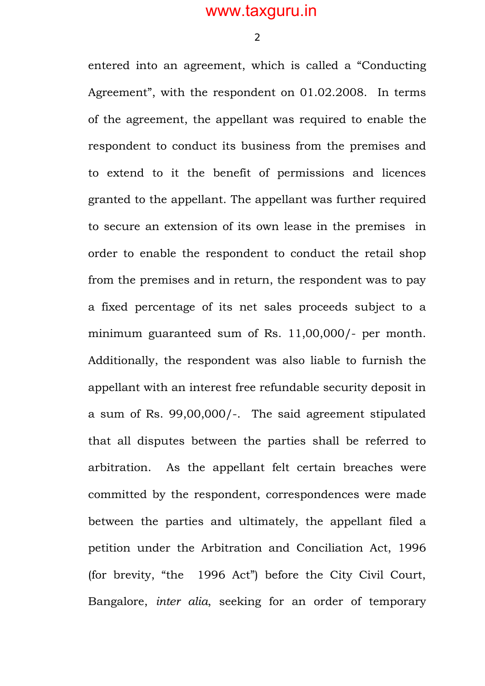2

entered into an agreement, which is called a "Conducting Agreement", with the respondent on 01.02.2008. In terms of the agreement, the appellant was required to enable the respondent to conduct its business from the premises and to extend to it the benefit of permissions and licences granted to the appellant. The appellant was further required to secure an extension of its own lease in the premises in order to enable the respondent to conduct the retail shop from the premises and in return, the respondent was to pay a fixed percentage of its net sales proceeds subject to a minimum guaranteed sum of Rs. 11,00,000/- per month. Additionally, the respondent was also liable to furnish the appellant with an interest free refundable security deposit in a sum of Rs. 99,00,000/-. The said agreement stipulated that all disputes between the parties shall be referred to arbitration. As the appellant felt certain breaches were committed by the respondent, correspondences were made between the parties and ultimately, the appellant filed a petition under the Arbitration and Conciliation Act, 1996 (for brevity, "the 1996 Act") before the City Civil Court, Bangalore, *inter alia*, seeking for an order of temporary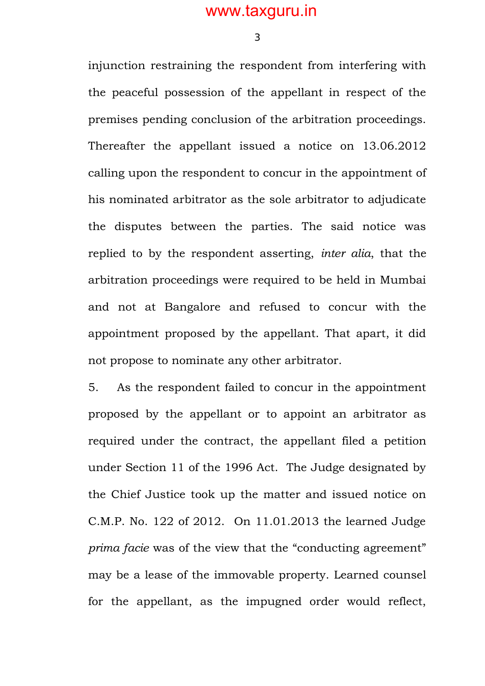3

injunction restraining the respondent from interfering with the peaceful possession of the appellant in respect of the premises pending conclusion of the arbitration proceedings. Thereafter the appellant issued a notice on 13.06.2012 calling upon the respondent to concur in the appointment of his nominated arbitrator as the sole arbitrator to adjudicate the disputes between the parties. The said notice was replied to by the respondent asserting, *inter alia*, that the arbitration proceedings were required to be held in Mumbai and not at Bangalore and refused to concur with the appointment proposed by the appellant. That apart, it did not propose to nominate any other arbitrator.

5. As the respondent failed to concur in the appointment proposed by the appellant or to appoint an arbitrator as required under the contract, the appellant filed a petition under Section 11 of the 1996 Act. The Judge designated by the Chief Justice took up the matter and issued notice on C.M.P. No. 122 of 2012. On 11.01.2013 the learned Judge *prima facie* was of the view that the "conducting agreement" may be a lease of the immovable property. Learned counsel for the appellant, as the impugned order would reflect,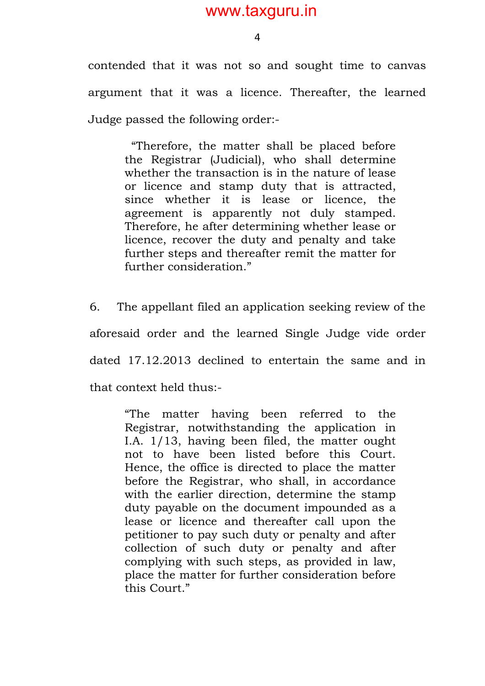4

contended that it was not so and sought time to canvas argument that it was a licence. Thereafter, the learned Judge passed the following order:-

> "Therefore, the matter shall be placed before the Registrar (Judicial), who shall determine whether the transaction is in the nature of lease or licence and stamp duty that is attracted, since whether it is lease or licence, the agreement is apparently not duly stamped. Therefore, he after determining whether lease or licence, recover the duty and penalty and take further steps and thereafter remit the matter for further consideration."

6. The appellant filed an application seeking review of the aforesaid order and the learned Single Judge vide order dated 17.12.2013 declined to entertain the same and in that context held thus:-

> "The matter having been referred to the Registrar, notwithstanding the application in I.A. 1/13, having been filed, the matter ought not to have been listed before this Court. Hence, the office is directed to place the matter before the Registrar, who shall, in accordance with the earlier direction, determine the stamp duty payable on the document impounded as a lease or licence and thereafter call upon the petitioner to pay such duty or penalty and after collection of such duty or penalty and after complying with such steps, as provided in law, place the matter for further consideration before this Court."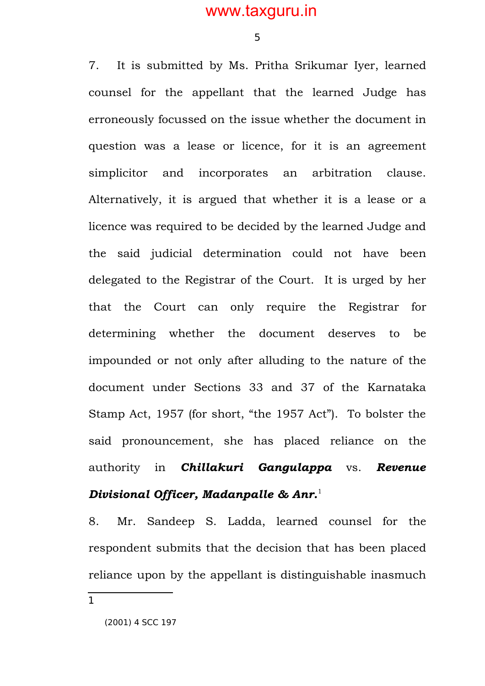5

7. It is submitted by Ms. Pritha Srikumar Iyer, learned counsel for the appellant that the learned Judge has erroneously focussed on the issue whether the document in question was a lease or licence, for it is an agreement simplicitor and incorporates an arbitration clause. Alternatively, it is argued that whether it is a lease or a licence was required to be decided by the learned Judge and the said judicial determination could not have been delegated to the Registrar of the Court. It is urged by her that the Court can only require the Registrar for determining whether the document deserves to be impounded or not only after alluding to the nature of the document under Sections 33 and 37 of the Karnataka Stamp Act, 1957 (for short, "the 1957 Act"). To bolster the said pronouncement, she has placed reliance on the authority in *Chillakuri Gangulappa* vs. *Revenue Divisional Officer, Madanpalle & Anr.*[1](#page-4-0)

8. Mr. Sandeep S. Ladda, learned counsel for the respondent submits that the decision that has been placed reliance upon by the appellant is distinguishable inasmuch

<span id="page-4-0"></span>1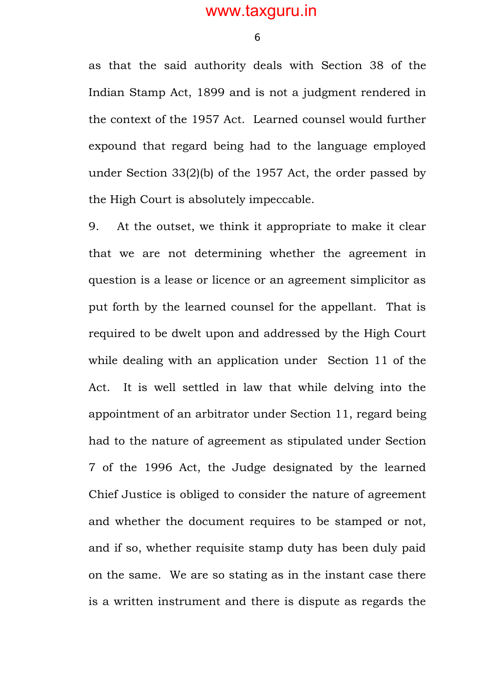6

as that the said authority deals with Section 38 of the Indian Stamp Act, 1899 and is not a judgment rendered in the context of the 1957 Act. Learned counsel would further expound that regard being had to the language employed under Section 33(2)(b) of the 1957 Act, the order passed by the High Court is absolutely impeccable.

9. At the outset, we think it appropriate to make it clear that we are not determining whether the agreement in question is a lease or licence or an agreement simplicitor as put forth by the learned counsel for the appellant. That is required to be dwelt upon and addressed by the High Court while dealing with an application under Section 11 of the Act. It is well settled in law that while delving into the appointment of an arbitrator under Section 11, regard being had to the nature of agreement as stipulated under Section 7 of the 1996 Act, the Judge designated by the learned Chief Justice is obliged to consider the nature of agreement and whether the document requires to be stamped or not, and if so, whether requisite stamp duty has been duly paid on the same. We are so stating as in the instant case there is a written instrument and there is dispute as regards the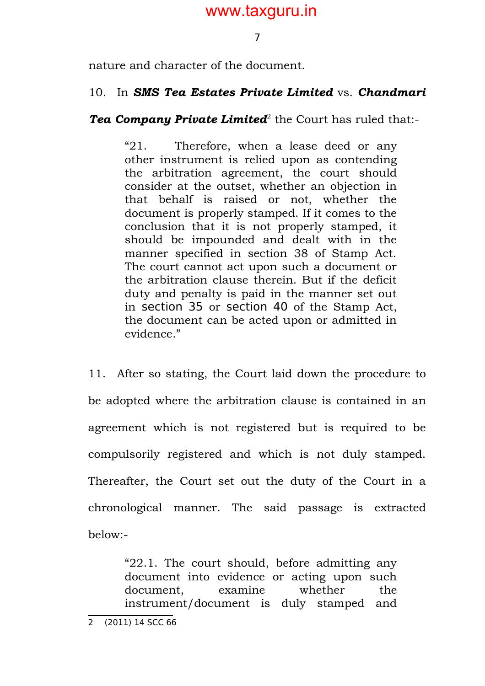7

nature and character of the document.

#### 10. In *SMS Tea Estates Private Limited* vs. *Chandmari*

Tea Company Private Limited<sup>[2](#page-6-0)</sup> the Court has ruled that:-

"21. Therefore, when a lease deed or any other instrument is relied upon as contending the arbitration agreement, the court should consider at the outset, whether an objection in that behalf is raised or not, whether the document is properly stamped. If it comes to the conclusion that it is not properly stamped, it should be impounded and dealt with in the manner specified in section 38 of Stamp Act. The court cannot act upon such a document or the arbitration clause therein. But if the deficit duty and penalty is paid in the manner set out in section 35 or section 40 of the Stamp Act, the document can be acted upon or admitted in evidence."

11. After so stating, the Court laid down the procedure to be adopted where the arbitration clause is contained in an agreement which is not registered but is required to be compulsorily registered and which is not duly stamped. Thereafter, the Court set out the duty of the Court in a chronological manner. The said passage is extracted below:-

> "22.1. The court should, before admitting any document into evidence or acting upon such document, examine whether the instrument/document is duly stamped and

<span id="page-6-0"></span><sup>2 (2011) 14</sup> SCC 66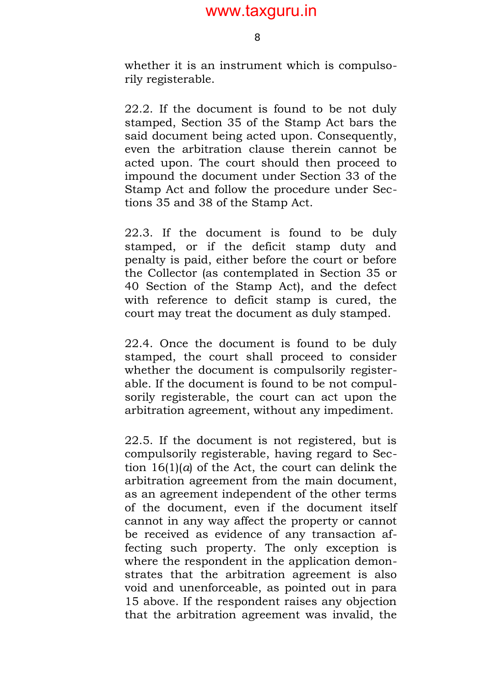8

whether it is an instrument which is compulsorily registerable.

22.2. If the document is found to be not duly stamped, Section 35 of the Stamp Act bars the said document being acted upon. Consequently, even the arbitration clause therein cannot be acted upon. The court should then proceed to impound the document under Section 33 of the Stamp Act and follow the procedure under Sections 35 and 38 of the Stamp Act.

22.3. If the document is found to be duly stamped, or if the deficit stamp duty and penalty is paid, either before the court or before the Collector (as contemplated in Section 35 or 40 Section of the Stamp Act), and the defect with reference to deficit stamp is cured, the court may treat the document as duly stamped.

22.4. Once the document is found to be duly stamped, the court shall proceed to consider whether the document is compulsorily registerable. If the document is found to be not compulsorily registerable, the court can act upon the arbitration agreement, without any impediment.

22.5. If the document is not registered, but is compulsorily registerable, having regard to Section 16(1)(*a*) of the Act, the court can delink the arbitration agreement from the main document, as an agreement independent of the other terms of the document, even if the document itself cannot in any way affect the property or cannot be received as evidence of any transaction affecting such property. The only exception is where the respondent in the application demonstrates that the arbitration agreement is also void and unenforceable, as pointed out in para 15 above. If the respondent raises any objection that the arbitration agreement was invalid, the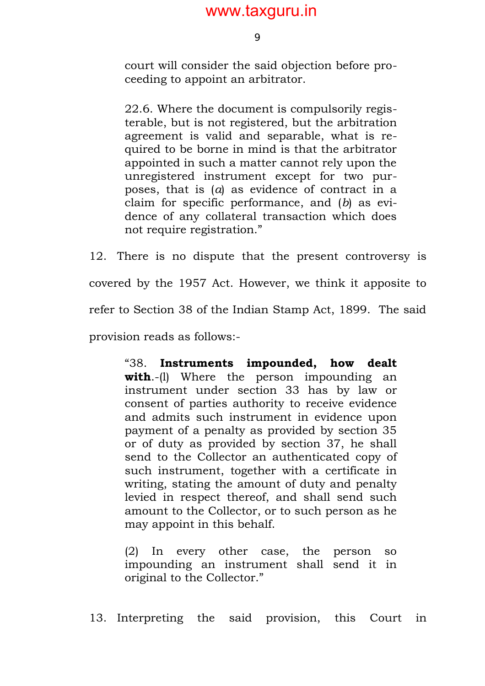9

court will consider the said objection before proceeding to appoint an arbitrator.

22.6. Where the document is compulsorily registerable, but is not registered, but the arbitration agreement is valid and separable, what is required to be borne in mind is that the arbitrator appointed in such a matter cannot rely upon the unregistered instrument except for two purposes, that is (*a*) as evidence of contract in a claim for specific performance, and (*b*) as evidence of any collateral transaction which does not require registration."

12. There is no dispute that the present controversy is covered by the 1957 Act. However, we think it apposite to refer to Section 38 of the Indian Stamp Act, 1899. The said provision reads as follows:-

> "38. **Instruments impounded, how dealt with.**-(1) Where the person impounding an instrument under section 33 has by law or consent of parties authority to receive evidence and admits such instrument in evidence upon payment of a penalty as provided by section 35 or of duty as provided by section 37, he shall send to the Collector an authenticated copy of such instrument, together with a certificate in writing, stating the amount of duty and penalty levied in respect thereof, and shall send such amount to the Collector, or to such person as he may appoint in this behalf.

> (2) In every other case, the person so impounding an instrument shall send it in original to the Collector."

13. Interpreting the said provision, this Court in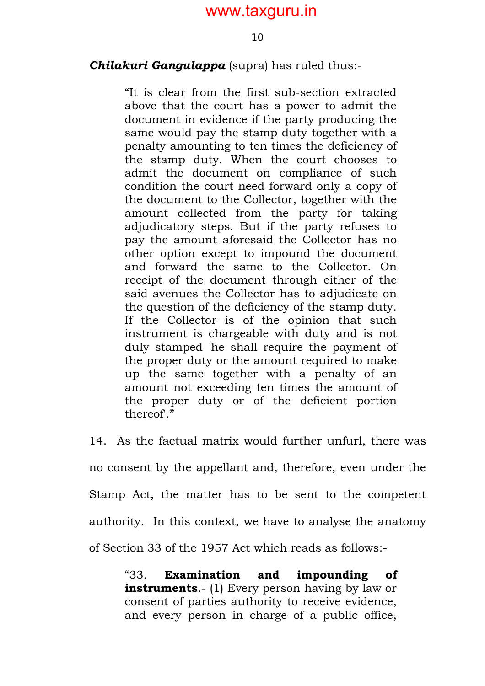#### *Chilakuri Gangulappa* (supra) has ruled thus:-

"It is clear from the first sub-section extracted above that the court has a power to admit the document in evidence if the party producing the same would pay the stamp duty together with a penalty amounting to ten times the deficiency of the stamp duty. When the court chooses to admit the document on compliance of such condition the court need forward only a copy of the document to the Collector, together with the amount collected from the party for taking adjudicatory steps. But if the party refuses to pay the amount aforesaid the Collector has no other option except to impound the document and forward the same to the Collector. On receipt of the document through either of the said avenues the Collector has to adjudicate on the question of the deficiency of the stamp duty. If the Collector is of the opinion that such instrument is chargeable with duty and is not duly stamped 'he shall require the payment of the proper duty or the amount required to make up the same together with a penalty of an amount not exceeding ten times the amount of the proper duty or of the deficient portion thereof'."

14. As the factual matrix would further unfurl, there was no consent by the appellant and, therefore, even under the Stamp Act, the matter has to be sent to the competent authority. In this context, we have to analyse the anatomy of Section 33 of the 1957 Act which reads as follows:-

> "33. **Examination and impounding of instruments**.- (1) Every person having by law or consent of parties authority to receive evidence, and every person in charge of a public office,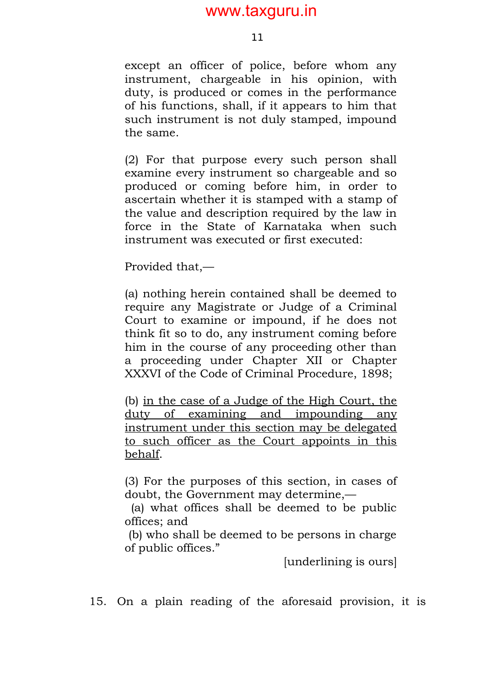except an officer of police, before whom any instrument, chargeable in his opinion, with duty, is produced or comes in the performance of his functions, shall, if it appears to him that such instrument is not duly stamped, impound the same.

(2) For that purpose every such person shall examine every instrument so chargeable and so produced or coming before him, in order to ascertain whether it is stamped with a stamp of the value and description required by the law in force in the State of Karnataka when such instrument was executed or first executed:

Provided that,—

(a) nothing herein contained shall be deemed to require any Magistrate or Judge of a Criminal Court to examine or impound, if he does not think fit so to do, any instrument coming before him in the course of any proceeding other than a proceeding under Chapter XII or Chapter XXXVI of the Code of Criminal Procedure, 1898;

(b) in the case of a Judge of the High Court, the duty of examining and impounding any instrument under this section may be delegated to such officer as the Court appoints in this behalf.

(3) For the purposes of this section, in cases of doubt, the Government may determine,—

(a) what offices shall be deemed to be public offices; and

(b) who shall be deemed to be persons in charge of public offices."

[underlining is ours]

15. On a plain reading of the aforesaid provision, it is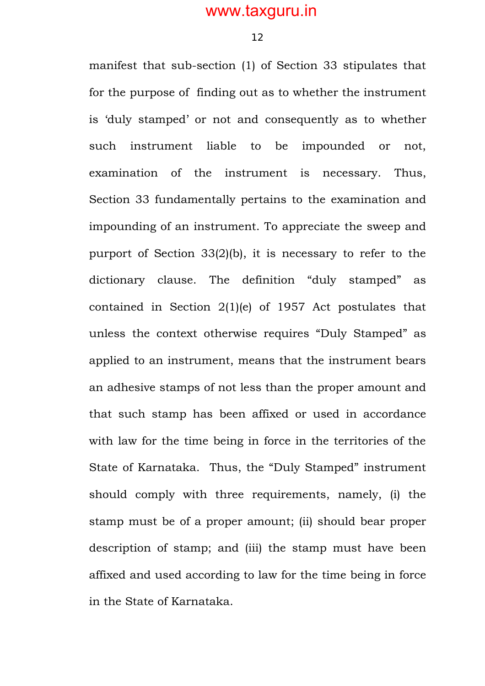12

manifest that sub-section (1) of Section 33 stipulates that for the purpose of finding out as to whether the instrument is 'duly stamped' or not and consequently as to whether such instrument liable to be impounded or not, examination of the instrument is necessary. Thus, Section 33 fundamentally pertains to the examination and impounding of an instrument. To appreciate the sweep and purport of Section 33(2)(b), it is necessary to refer to the dictionary clause. The definition "duly stamped" as contained in Section 2(1)(e) of 1957 Act postulates that unless the context otherwise requires "Duly Stamped" as applied to an instrument, means that the instrument bears an adhesive stamps of not less than the proper amount and that such stamp has been affixed or used in accordance with law for the time being in force in the territories of the State of Karnataka. Thus, the "Duly Stamped" instrument should comply with three requirements, namely, (i) the stamp must be of a proper amount; (ii) should bear proper description of stamp; and (iii) the stamp must have been affixed and used according to law for the time being in force in the State of Karnataka.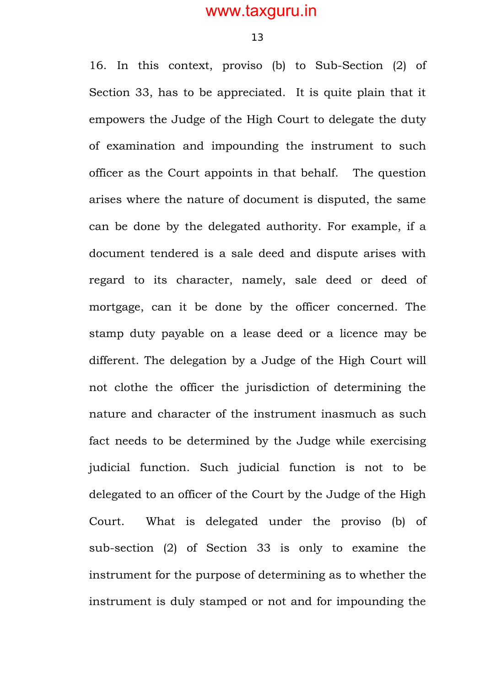16. In this context, proviso (b) to Sub-Section (2) of Section 33, has to be appreciated. It is quite plain that it empowers the Judge of the High Court to delegate the duty of examination and impounding the instrument to such officer as the Court appoints in that behalf. The question arises where the nature of document is disputed, the same can be done by the delegated authority. For example, if a document tendered is a sale deed and dispute arises with regard to its character, namely, sale deed or deed of mortgage, can it be done by the officer concerned. The stamp duty payable on a lease deed or a licence may be different. The delegation by a Judge of the High Court will not clothe the officer the jurisdiction of determining the nature and character of the instrument inasmuch as such fact needs to be determined by the Judge while exercising judicial function. Such judicial function is not to be delegated to an officer of the Court by the Judge of the High Court. What is delegated under the proviso (b) of sub-section (2) of Section 33 is only to examine the instrument for the purpose of determining as to whether the instrument is duly stamped or not and for impounding the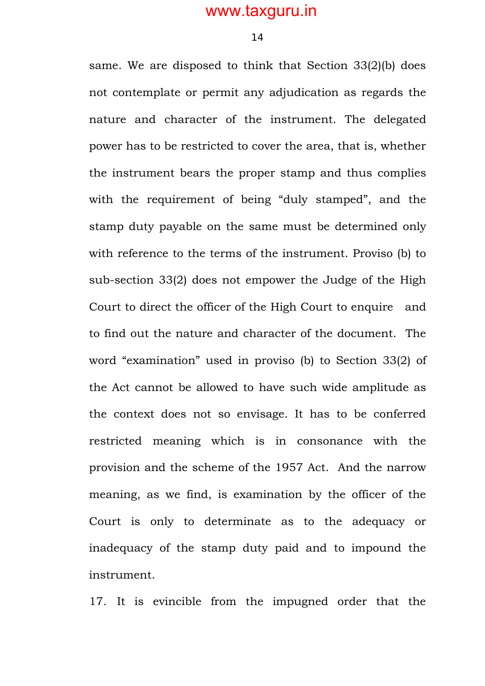14

same. We are disposed to think that Section 33(2)(b) does not contemplate or permit any adjudication as regards the nature and character of the instrument. The delegated power has to be restricted to cover the area, that is, whether the instrument bears the proper stamp and thus complies with the requirement of being "duly stamped", and the stamp duty payable on the same must be determined only with reference to the terms of the instrument. Proviso (b) to sub-section 33(2) does not empower the Judge of the High Court to direct the officer of the High Court to enquire and to find out the nature and character of the document. The word "examination" used in proviso (b) to Section 33(2) of the Act cannot be allowed to have such wide amplitude as the context does not so envisage. It has to be conferred restricted meaning which is in consonance with the provision and the scheme of the 1957 Act. And the narrow meaning, as we find, is examination by the officer of the Court is only to determinate as to the adequacy or inadequacy of the stamp duty paid and to impound the instrument.

17. It is evincible from the impugned order that the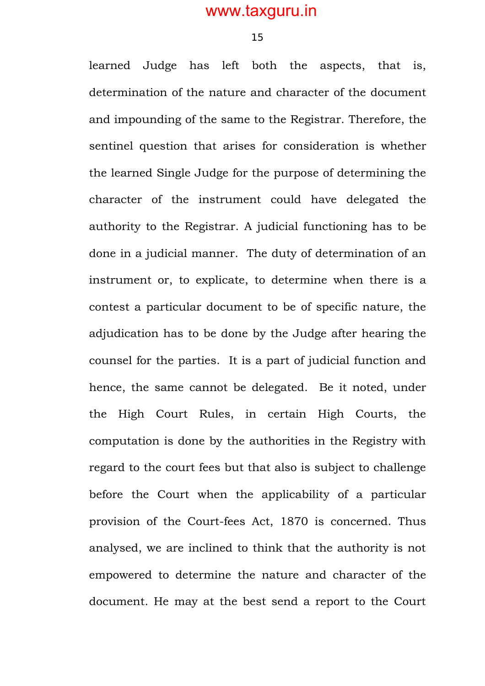learned Judge has left both the aspects, that is, determination of the nature and character of the document and impounding of the same to the Registrar. Therefore, the sentinel question that arises for consideration is whether the learned Single Judge for the purpose of determining the character of the instrument could have delegated the authority to the Registrar. A judicial functioning has to be done in a judicial manner. The duty of determination of an instrument or, to explicate, to determine when there is a contest a particular document to be of specific nature, the adjudication has to be done by the Judge after hearing the counsel for the parties. It is a part of judicial function and hence, the same cannot be delegated. Be it noted, under the High Court Rules, in certain High Courts, the computation is done by the authorities in the Registry with regard to the court fees but that also is subject to challenge before the Court when the applicability of a particular provision of the Court-fees Act, 1870 is concerned. Thus analysed, we are inclined to think that the authority is not empowered to determine the nature and character of the document. He may at the best send a report to the Court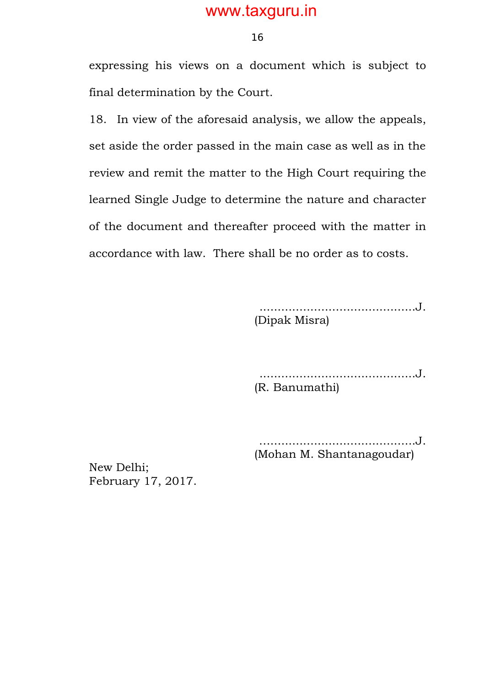16

expressing his views on a document which is subject to final determination by the Court.

18. In view of the aforesaid analysis, we allow the appeals, set aside the order passed in the main case as well as in the review and remit the matter to the High Court requiring the learned Single Judge to determine the nature and character of the document and thereafter proceed with the matter in accordance with law. There shall be no order as to costs.

> ...........................................J. (Dipak Misra)

> ...........................................J. (R. Banumathi)

> …........................................J. (Mohan M. Shantanagoudar)

New Delhi; February 17, 2017.